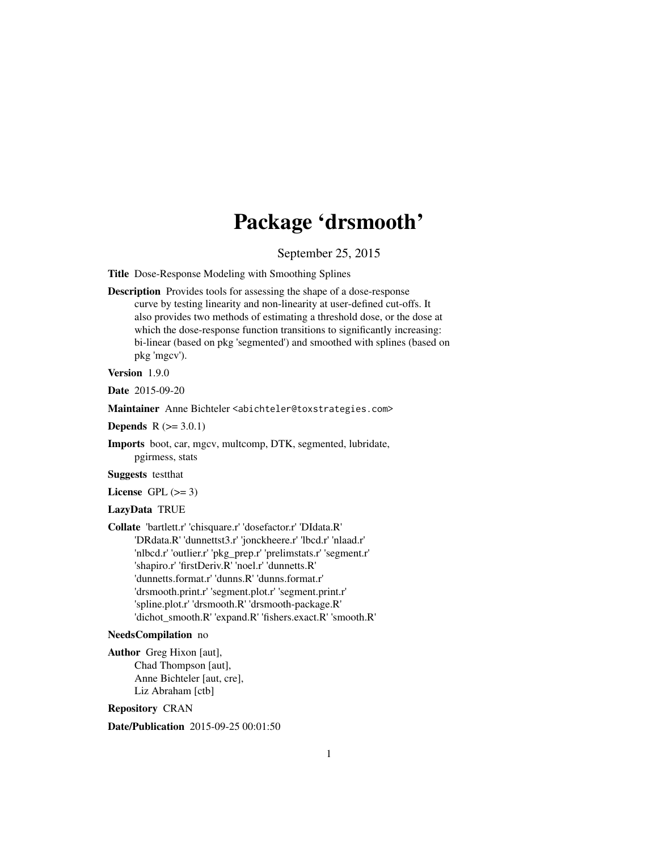# Package 'drsmooth'

September 25, 2015

Title Dose-Response Modeling with Smoothing Splines

Description Provides tools for assessing the shape of a dose-response curve by testing linearity and non-linearity at user-defined cut-offs. It also provides two methods of estimating a threshold dose, or the dose at which the dose-response function transitions to significantly increasing: bi-linear (based on pkg 'segmented') and smoothed with splines (based on pkg 'mgcv').

Version 1.9.0

Date 2015-09-20

Maintainer Anne Bichteler <abichteler@toxstrategies.com>

**Depends**  $R (= 3.0.1)$ 

Imports boot, car, mgcv, multcomp, DTK, segmented, lubridate, pgirmess, stats

Suggests testthat

License GPL  $(>= 3)$ 

# LazyData TRUE

Collate 'bartlett.r' 'chisquare.r' 'dosefactor.r' 'DIdata.R' 'DRdata.R' 'dunnettst3.r' 'jonckheere.r' 'lbcd.r' 'nlaad.r' 'nlbcd.r' 'outlier.r' 'pkg\_prep.r' 'prelimstats.r' 'segment.r' 'shapiro.r' 'firstDeriv.R' 'noel.r' 'dunnetts.R' 'dunnetts.format.r' 'dunns.R' 'dunns.format.r' 'drsmooth.print.r' 'segment.plot.r' 'segment.print.r' 'spline.plot.r' 'drsmooth.R' 'drsmooth-package.R' 'dichot\_smooth.R' 'expand.R' 'fishers.exact.R' 'smooth.R'

# NeedsCompilation no

Author Greg Hixon [aut], Chad Thompson [aut], Anne Bichteler [aut, cre], Liz Abraham [ctb]

Repository CRAN

Date/Publication 2015-09-25 00:01:50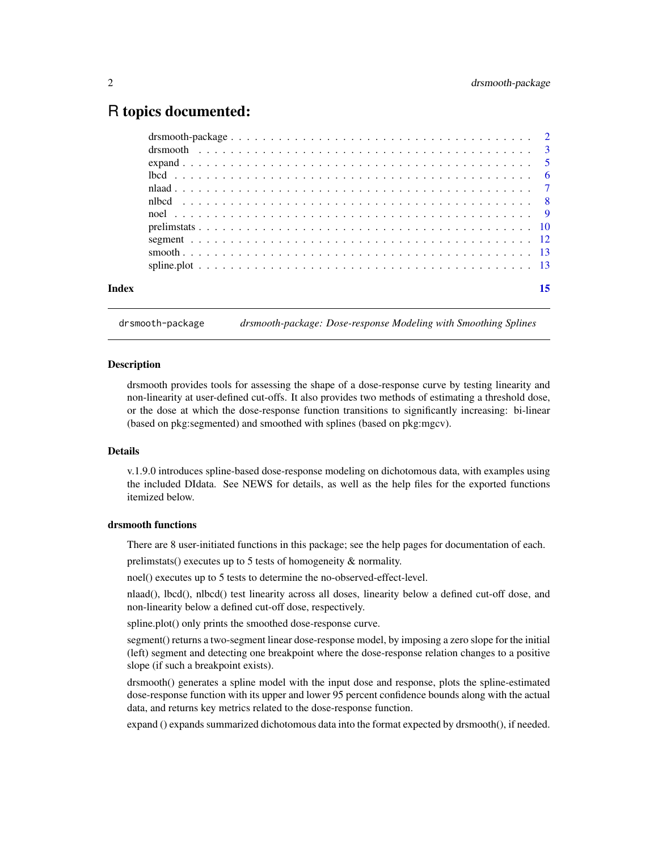# <span id="page-1-0"></span>R topics documented:

| Index |  |
|-------|--|
|       |  |

drsmooth-package *drsmooth-package: Dose-response Modeling with Smoothing Splines*

#### Description

drsmooth provides tools for assessing the shape of a dose-response curve by testing linearity and non-linearity at user-defined cut-offs. It also provides two methods of estimating a threshold dose, or the dose at which the dose-response function transitions to significantly increasing: bi-linear (based on pkg:segmented) and smoothed with splines (based on pkg:mgcv).

# **Details**

v.1.9.0 introduces spline-based dose-response modeling on dichotomous data, with examples using the included DIdata. See NEWS for details, as well as the help files for the exported functions itemized below.

# drsmooth functions

There are 8 user-initiated functions in this package; see the help pages for documentation of each.

prelimstats() executes up to 5 tests of homogeneity & normality.

noel() executes up to 5 tests to determine the no-observed-effect-level.

nlaad(), lbcd(), nlbcd() test linearity across all doses, linearity below a defined cut-off dose, and non-linearity below a defined cut-off dose, respectively.

spline.plot() only prints the smoothed dose-response curve.

segment() returns a two-segment linear dose-response model, by imposing a zero slope for the initial (left) segment and detecting one breakpoint where the dose-response relation changes to a positive slope (if such a breakpoint exists).

drsmooth() generates a spline model with the input dose and response, plots the spline-estimated dose-response function with its upper and lower 95 percent confidence bounds along with the actual data, and returns key metrics related to the dose-response function.

expand () expands summarized dichotomous data into the format expected by drsmooth(), if needed.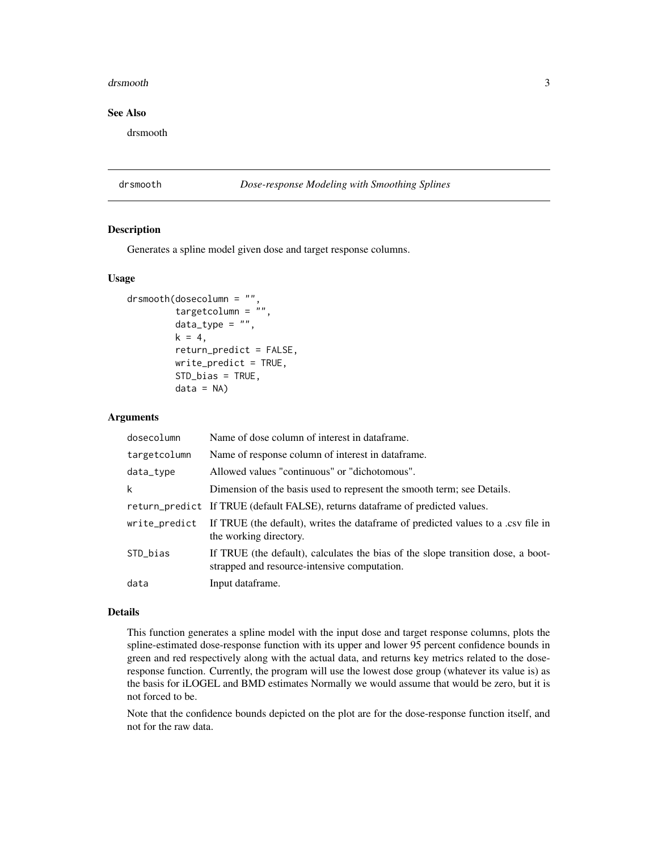#### <span id="page-2-0"></span>drsmooth 3

# See Also

drsmooth

#### drsmooth *Dose-response Modeling with Smoothing Splines*

# Description

Generates a spline model given dose and target response columns.

# Usage

```
drsmooth(dosecolumn = "",
         targetcolumn = ",
         data_type = "",k = 4,
         return_predict = FALSE,
         write_predict = TRUE,
         STD_bias = TRUE,
         data = NA
```
#### Arguments

| dosecolumn    | Name of dose column of interest in dataframe.                                                                                    |
|---------------|----------------------------------------------------------------------------------------------------------------------------------|
| targetcolumn  | Name of response column of interest in dataframe.                                                                                |
| data_type     | Allowed values "continuous" or "dichotomous".                                                                                    |
| k             | Dimension of the basis used to represent the smooth term; see Details.                                                           |
|               | return_predict If TRUE (default FALSE), returns dataframe of predicted values.                                                   |
| write_predict | If TRUE (the default), writes the data frame of predicted values to a .csv file in<br>the working directory.                     |
| STD_bias      | If TRUE (the default), calculates the bias of the slope transition dose, a boot-<br>strapped and resource-intensive computation. |
| data          | Input dataframe.                                                                                                                 |

#### Details

This function generates a spline model with the input dose and target response columns, plots the spline-estimated dose-response function with its upper and lower 95 percent confidence bounds in green and red respectively along with the actual data, and returns key metrics related to the doseresponse function. Currently, the program will use the lowest dose group (whatever its value is) as the basis for iLOGEL and BMD estimates Normally we would assume that would be zero, but it is not forced to be.

Note that the confidence bounds depicted on the plot are for the dose-response function itself, and not for the raw data.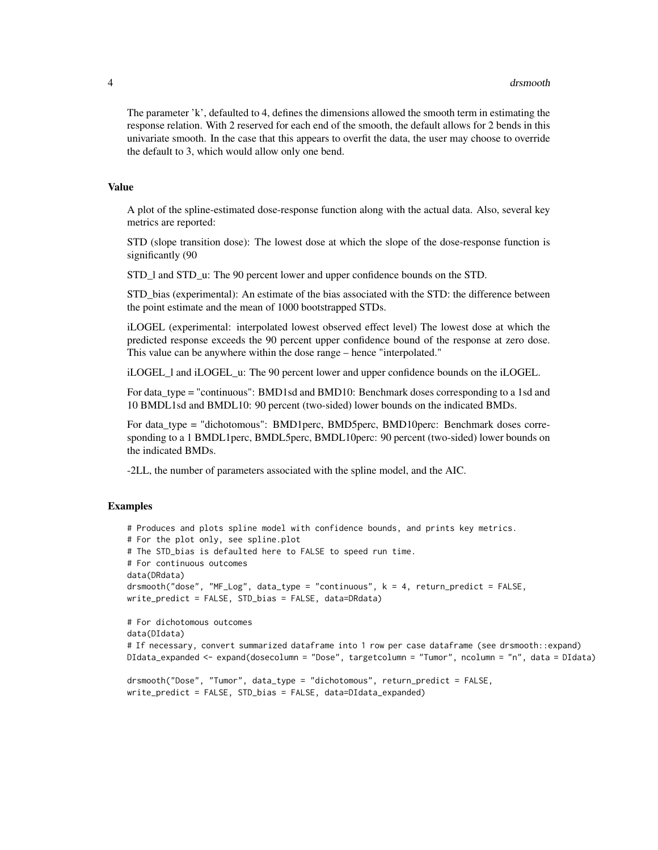The parameter 'k', defaulted to 4, defines the dimensions allowed the smooth term in estimating the response relation. With 2 reserved for each end of the smooth, the default allows for 2 bends in this univariate smooth. In the case that this appears to overfit the data, the user may choose to override the default to 3, which would allow only one bend.

#### Value

A plot of the spline-estimated dose-response function along with the actual data. Also, several key metrics are reported:

STD (slope transition dose): The lowest dose at which the slope of the dose-response function is significantly (90

STD\_l and STD\_u: The 90 percent lower and upper confidence bounds on the STD.

STD\_bias (experimental): An estimate of the bias associated with the STD: the difference between the point estimate and the mean of 1000 bootstrapped STDs.

iLOGEL (experimental: interpolated lowest observed effect level) The lowest dose at which the predicted response exceeds the 90 percent upper confidence bound of the response at zero dose. This value can be anywhere within the dose range – hence "interpolated."

iLOGEL\_l and iLOGEL\_u: The 90 percent lower and upper confidence bounds on the iLOGEL.

For data\_type = "continuous": BMD1sd and BMD10: Benchmark doses corresponding to a 1sd and 10 BMDL1sd and BMDL10: 90 percent (two-sided) lower bounds on the indicated BMDs.

For data\_type = "dichotomous": BMD1perc, BMD5perc, BMD10perc: Benchmark doses corresponding to a 1 BMDL1perc, BMDL5perc, BMDL10perc: 90 percent (two-sided) lower bounds on the indicated BMDs.

-2LL, the number of parameters associated with the spline model, and the AIC.

```
# Produces and plots spline model with confidence bounds, and prints key metrics.
# For the plot only, see spline.plot
# The STD_bias is defaulted here to FALSE to speed run time.
# For continuous outcomes
data(DRdata)
drsmooth("dose", "MF_Log", data_type = "continuous", k = 4, return_predict = FALSE,
write_predict = FALSE, STD_bias = FALSE, data=DRdata)
# For dichotomous outcomes
data(DIdata)
# If necessary, convert summarized dataframe into 1 row per case dataframe (see drsmooth::expand)
DIdata_expanded <- expand(dosecolumn = "Dose", targetcolumn = "Tumor", ncolumn = "n", data = DIdata)
```

```
drsmooth("Dose", "Tumor", data_type = "dichotomous", return_predict = FALSE,
write_predict = FALSE, STD_bias = FALSE, data=DIdata_expanded)
```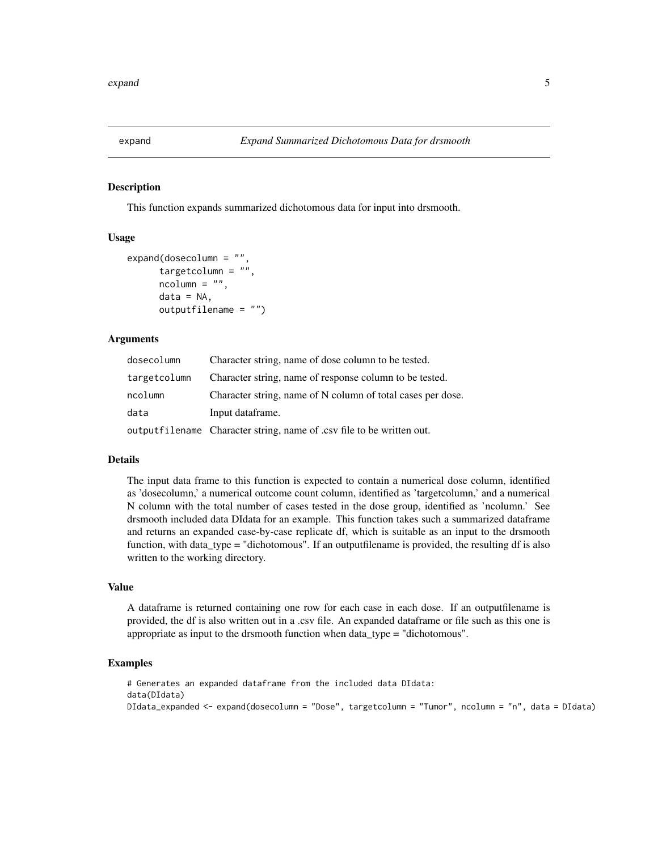<span id="page-4-0"></span>

This function expands summarized dichotomous data for input into drsmooth.

#### Usage

```
expand(dosecolumn = "",
     targetcolumn = "ncolumn = ""data = NA,
     outputfilename = "")
```
# Arguments

| dosecolumn   | Character string, name of dose column to be tested.                   |
|--------------|-----------------------------------------------------------------------|
| targetcolumn | Character string, name of response column to be tested.               |
| ncolumn      | Character string, name of N column of total cases per dose.           |
| data         | Input dataframe.                                                      |
|              | outputfilename Character string, name of .csv file to be written out. |

# Details

The input data frame to this function is expected to contain a numerical dose column, identified as 'dosecolumn,' a numerical outcome count column, identified as 'targetcolumn,' and a numerical N column with the total number of cases tested in the dose group, identified as 'ncolumn.' See drsmooth included data DIdata for an example. This function takes such a summarized dataframe and returns an expanded case-by-case replicate df, which is suitable as an input to the drsmooth function, with data\_type = "dichotomous". If an outputfilename is provided, the resulting df is also written to the working directory.

# Value

A dataframe is returned containing one row for each case in each dose. If an outputfilename is provided, the df is also written out in a .csv file. An expanded dataframe or file such as this one is appropriate as input to the drsmooth function when data\_type = "dichotomous".

```
# Generates an expanded dataframe from the included data DIdata:
data(DIdata)
DIdata_expanded <- expand(dosecolumn = "Dose", targetcolumn = "Tumor", ncolumn = "n", data = DIdata)
```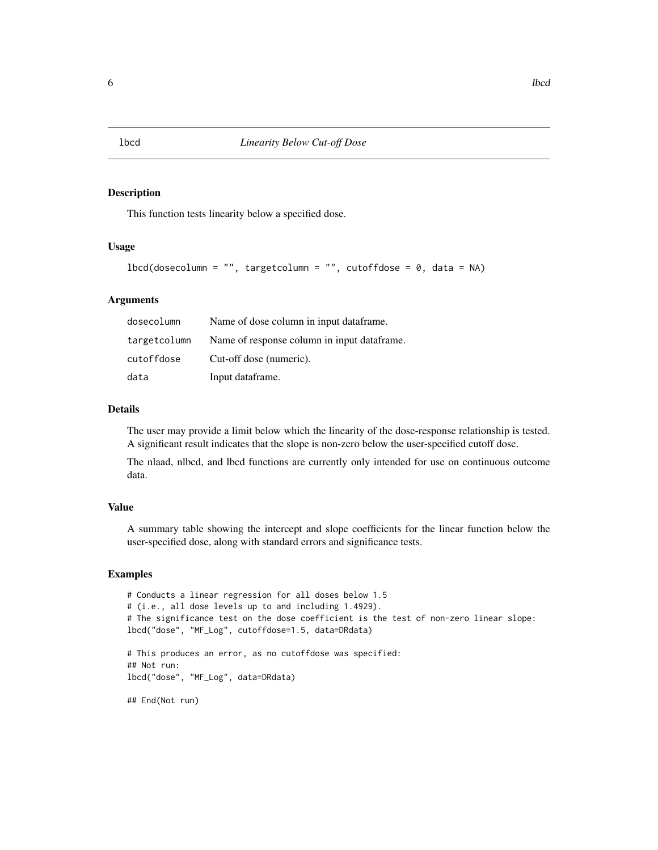This function tests linearity below a specified dose.

# Usage

```
lbcd(dosecolumn = "", targetcolumn = "", textoffdose = 0, data = NA)
```
#### Arguments

| dosecolumn   | Name of dose column in input dataframe.     |
|--------------|---------------------------------------------|
| targetcolumn | Name of response column in input dataframe. |
| cutoffdose   | Cut-off dose (numeric).                     |
| data         | Input dataframe.                            |

# Details

The user may provide a limit below which the linearity of the dose-response relationship is tested. A significant result indicates that the slope is non-zero below the user-specified cutoff dose.

The nlaad, nlbcd, and lbcd functions are currently only intended for use on continuous outcome data.

# Value

A summary table showing the intercept and slope coefficients for the linear function below the user-specified dose, along with standard errors and significance tests.

#### Examples

```
# Conducts a linear regression for all doses below 1.5
# (i.e., all dose levels up to and including 1.4929).
# The significance test on the dose coefficient is the test of non-zero linear slope:
lbcd("dose", "MF_Log", cutoffdose=1.5, data=DRdata)
# This produces an error, as no cutoffdose was specified:
## Not run:
lbcd("dose", "MF_Log", data=DRdata)
## End(Not run)
```
<span id="page-5-0"></span>lbcd *Linearity Below Cut-off Dose*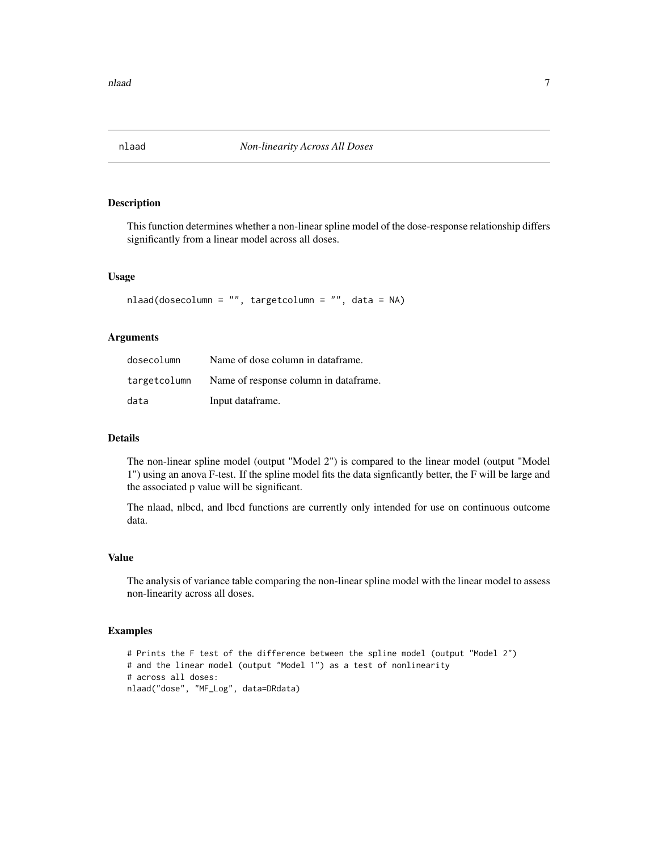<span id="page-6-0"></span>

This function determines whether a non-linear spline model of the dose-response relationship differs significantly from a linear model across all doses.

# Usage

```
nlaad(dosecolumn = "", targetcolumn = "", data = NA)
```
# Arguments

| dosecolumn | Name of dose column in dataframe.                   |
|------------|-----------------------------------------------------|
|            | target column Name of response column in dataframe. |
| data       | Input dataframe.                                    |

# Details

The non-linear spline model (output "Model 2") is compared to the linear model (output "Model 1") using an anova F-test. If the spline model fits the data signficantly better, the F will be large and the associated p value will be significant.

The nlaad, nlbcd, and lbcd functions are currently only intended for use on continuous outcome data.

#### Value

The analysis of variance table comparing the non-linear spline model with the linear model to assess non-linearity across all doses.

```
# Prints the F test of the difference between the spline model (output "Model 2")
# and the linear model (output "Model 1") as a test of nonlinearity
# across all doses:
nlaad("dose", "MF_Log", data=DRdata)
```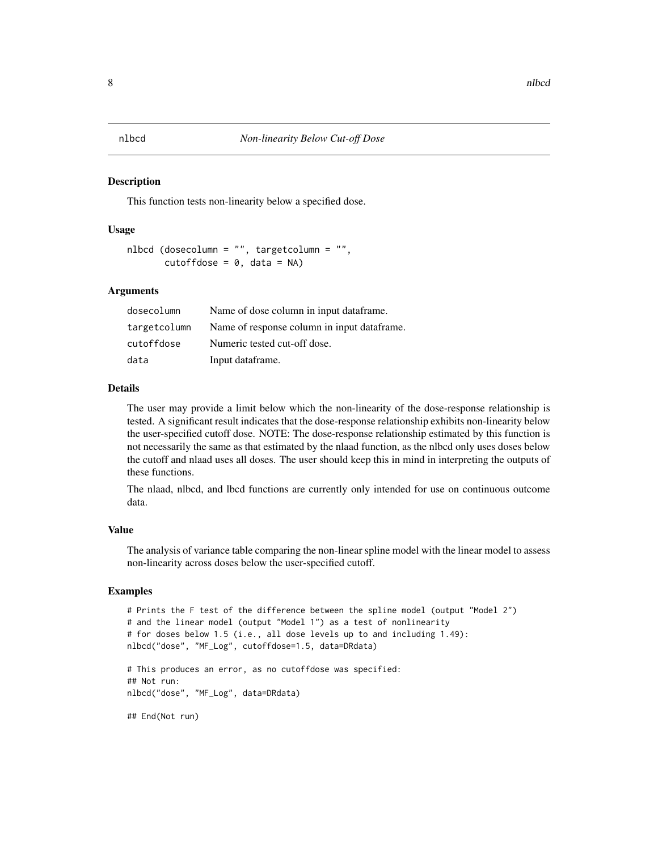<span id="page-7-0"></span>

This function tests non-linearity below a specified dose.

# Usage

```
nlbcd (dosecolumn = "", targetcolumn = "",
       cutoffdose = 0, data = NA)
```
#### Arguments

| dosecolumn   | Name of dose column in input dataframe.     |
|--------------|---------------------------------------------|
| targetcolumn | Name of response column in input dataframe. |
| cutoffdose   | Numeric tested cut-off dose.                |
| data         | Input dataframe.                            |

# Details

The user may provide a limit below which the non-linearity of the dose-response relationship is tested. A significant result indicates that the dose-response relationship exhibits non-linearity below the user-specified cutoff dose. NOTE: The dose-response relationship estimated by this function is not necessarily the same as that estimated by the nlaad function, as the nlbcd only uses doses below the cutoff and nlaad uses all doses. The user should keep this in mind in interpreting the outputs of these functions.

The nlaad, nlbcd, and lbcd functions are currently only intended for use on continuous outcome data.

# Value

The analysis of variance table comparing the non-linear spline model with the linear model to assess non-linearity across doses below the user-specified cutoff.

```
# Prints the F test of the difference between the spline model (output "Model 2")
# and the linear model (output "Model 1") as a test of nonlinearity
# for doses below 1.5 (i.e., all dose levels up to and including 1.49):
nlbcd("dose", "MF_Log", cutoffdose=1.5, data=DRdata)
# This produces an error, as no cutoffdose was specified:
## Not run:
nlbcd("dose", "MF_Log", data=DRdata)
## End(Not run)
```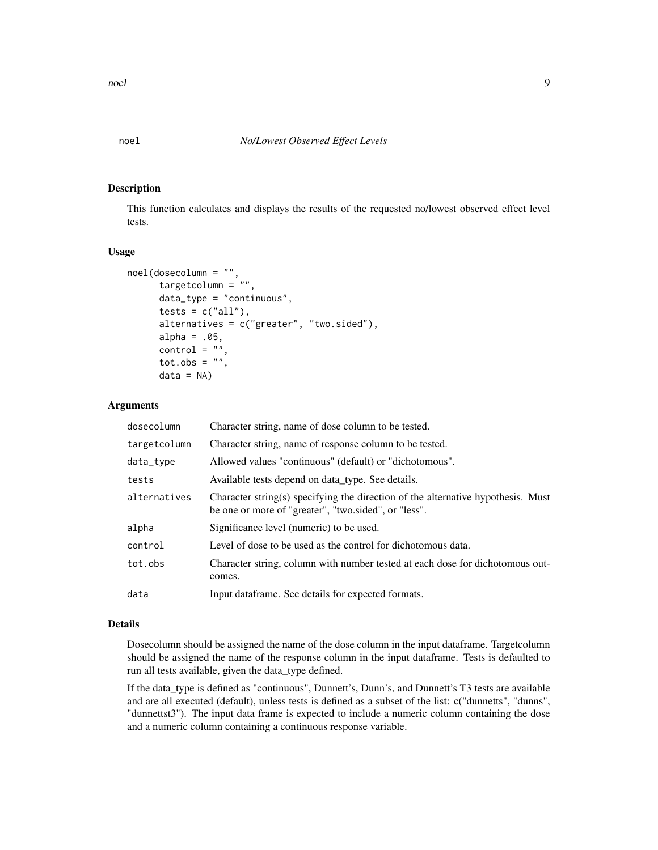<span id="page-8-0"></span>

This function calculates and displays the results of the requested no/lowest observed effect level tests.

#### Usage

```
noel(dosecolumn = "",
     targetcolumn = ",
     data_type = "continuous",
     tests = c("all"),alternatives = c("greater", "two.sided"),
     alpha = .05,
     control = "tot.obs = ",
     data = NA)
```
#### Arguments

| dosecolumn   | Character string, name of dose column to be tested.                                                                                      |
|--------------|------------------------------------------------------------------------------------------------------------------------------------------|
| targetcolumn | Character string, name of response column to be tested.                                                                                  |
| data_type    | Allowed values "continuous" (default) or "dichotomous".                                                                                  |
| tests        | Available tests depend on data type. See details.                                                                                        |
| alternatives | Character string(s) specifying the direction of the alternative hypothesis. Must<br>be one or more of "greater", "two.sided", or "less". |
| alpha        | Significance level (numeric) to be used.                                                                                                 |
| control      | Level of dose to be used as the control for dichotomous data.                                                                            |
| tot.obs      | Character string, column with number tested at each dose for dichotomous out-<br>comes.                                                  |
| data         | Input dataframe. See details for expected formats.                                                                                       |

#### Details

Dosecolumn should be assigned the name of the dose column in the input dataframe. Targetcolumn should be assigned the name of the response column in the input dataframe. Tests is defaulted to run all tests available, given the data\_type defined.

If the data\_type is defined as "continuous", Dunnett's, Dunn's, and Dunnett's T3 tests are available and are all executed (default), unless tests is defined as a subset of the list: c("dunnetts", "dunns", "dunnettst3"). The input data frame is expected to include a numeric column containing the dose and a numeric column containing a continuous response variable.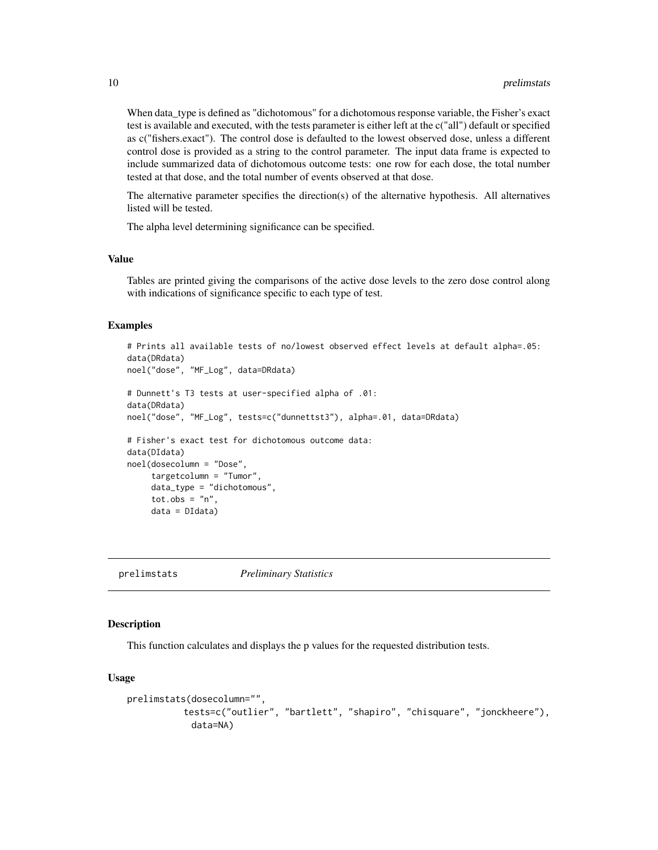When data\_type is defined as "dichotomous" for a dichotomous response variable, the Fisher's exact test is available and executed, with the tests parameter is either left at the c("all") default or specified as c("fishers.exact"). The control dose is defaulted to the lowest observed dose, unless a different control dose is provided as a string to the control parameter. The input data frame is expected to include summarized data of dichotomous outcome tests: one row for each dose, the total number tested at that dose, and the total number of events observed at that dose.

The alternative parameter specifies the direction(s) of the alternative hypothesis. All alternatives listed will be tested.

The alpha level determining significance can be specified.

# Value

Tables are printed giving the comparisons of the active dose levels to the zero dose control along with indications of significance specific to each type of test.

# Examples

```
# Prints all available tests of no/lowest observed effect levels at default alpha=.05:
data(DRdata)
noel("dose", "MF_Log", data=DRdata)
# Dunnett's T3 tests at user-specified alpha of .01:
data(DRdata)
noel("dose", "MF_Log", tests=c("dunnettst3"), alpha=.01, data=DRdata)
# Fisher's exact test for dichotomous outcome data:
data(DIdata)
noel(dosecolumn = "Dose",
     targetcolumn = "Tumor",
     data_type = "dichotomous",
    tot.obs = "n",
    data = DIdata)
```
prelimstats *Preliminary Statistics*

#### Description

This function calculates and displays the p values for the requested distribution tests.

#### Usage

```
prelimstats(dosecolumn="",
          tests=c("outlier", "bartlett", "shapiro", "chisquare", "jonckheere"),
            data=NA)
```
<span id="page-9-0"></span>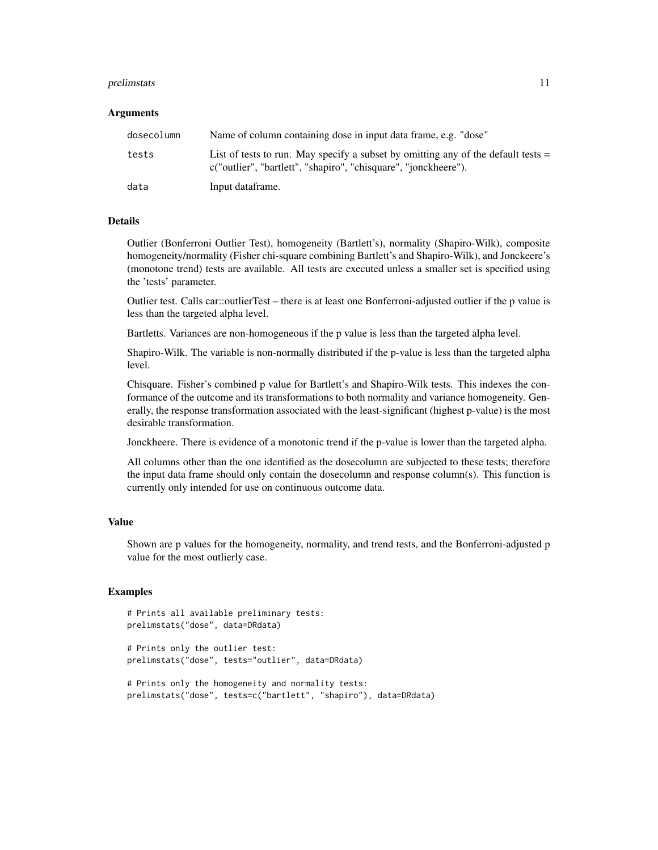#### prelimstats and the contract of the contract of the contract of the contract of the contract of the contract of the contract of the contract of the contract of the contract of the contract of the contract of the contract o

#### Arguments

| dosecolumn | Name of column containing dose in input data frame, e.g. "dose"                                                                                        |
|------------|--------------------------------------------------------------------------------------------------------------------------------------------------------|
| tests      | List of tests to run. May specify a subset by omitting any of the default tests $=$<br>c("outlier", "bartlett", "shapiro", "chisquare", "jonckheere"). |
| data       | Input dataframe.                                                                                                                                       |

#### Details

Outlier (Bonferroni Outlier Test), homogeneity (Bartlett's), normality (Shapiro-Wilk), composite homogeneity/normality (Fisher chi-square combining Bartlett's and Shapiro-Wilk), and Jonckeere's (monotone trend) tests are available. All tests are executed unless a smaller set is specified using the 'tests' parameter.

Outlier test. Calls car::outlierTest – there is at least one Bonferroni-adjusted outlier if the p value is less than the targeted alpha level.

Bartletts. Variances are non-homogeneous if the p value is less than the targeted alpha level.

Shapiro-Wilk. The variable is non-normally distributed if the p-value is less than the targeted alpha level.

Chisquare. Fisher's combined p value for Bartlett's and Shapiro-Wilk tests. This indexes the conformance of the outcome and its transformations to both normality and variance homogeneity. Generally, the response transformation associated with the least-significant (highest p-value) is the most desirable transformation.

Jonckheere. There is evidence of a monotonic trend if the p-value is lower than the targeted alpha.

All columns other than the one identified as the dosecolumn are subjected to these tests; therefore the input data frame should only contain the dosecolumn and response column(s). This function is currently only intended for use on continuous outcome data.

#### Value

Shown are p values for the homogeneity, normality, and trend tests, and the Bonferroni-adjusted p value for the most outlierly case.

```
# Prints all available preliminary tests:
prelimstats("dose", data=DRdata)
```

```
# Prints only the outlier test:
prelimstats("dose", tests="outlier", data=DRdata)
```

```
# Prints only the homogeneity and normality tests:
prelimstats("dose", tests=c("bartlett", "shapiro"), data=DRdata)
```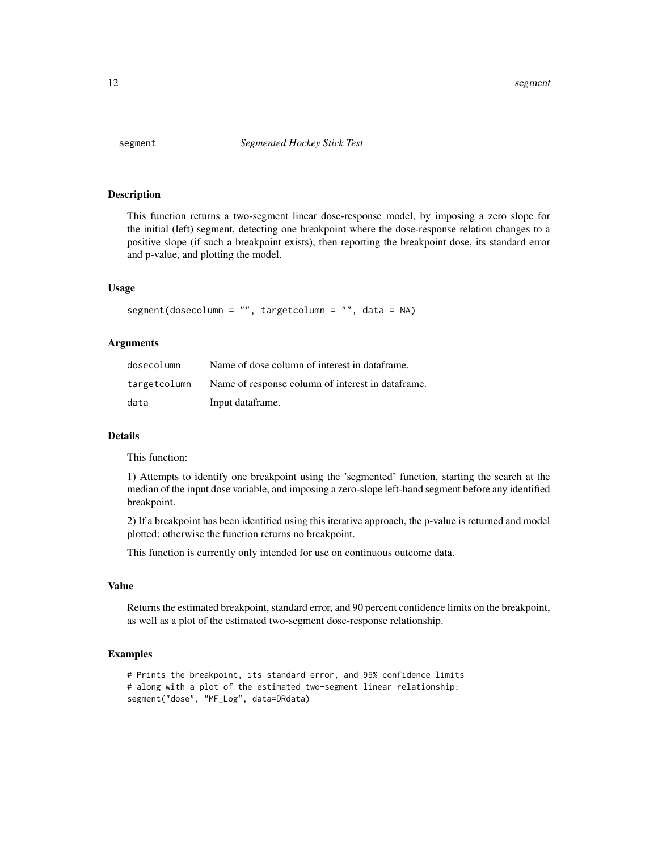<span id="page-11-0"></span>

This function returns a two-segment linear dose-response model, by imposing a zero slope for the initial (left) segment, detecting one breakpoint where the dose-response relation changes to a positive slope (if such a breakpoint exists), then reporting the breakpoint dose, its standard error and p-value, and plotting the model.

# Usage

segment(dosecolumn = "", targetcolumn = "", data = NA)

# Arguments

| dosecolumn   | Name of dose column of interest in dataframe.     |
|--------------|---------------------------------------------------|
| targetcolumn | Name of response column of interest in dataframe. |
| data         | Input dataframe.                                  |

# Details

This function:

1) Attempts to identify one breakpoint using the 'segmented' function, starting the search at the median of the input dose variable, and imposing a zero-slope left-hand segment before any identified breakpoint.

2) If a breakpoint has been identified using this iterative approach, the p-value is returned and model plotted; otherwise the function returns no breakpoint.

This function is currently only intended for use on continuous outcome data.

#### Value

Returns the estimated breakpoint, standard error, and 90 percent confidence limits on the breakpoint, as well as a plot of the estimated two-segment dose-response relationship.

```
# Prints the breakpoint, its standard error, and 95% confidence limits
# along with a plot of the estimated two-segment linear relationship:
segment("dose", "MF_Log", data=DRdata)
```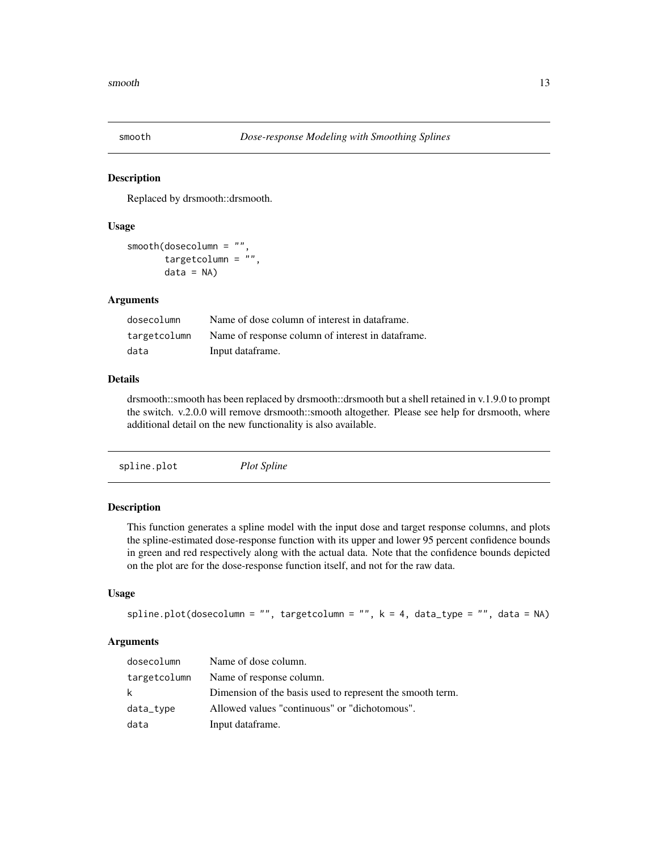<span id="page-12-0"></span>

Replaced by drsmooth::drsmooth.

# Usage

```
smooth(dosecolumn = "",
       targetcolumn = \sqrt{n},
       data = NA
```
#### Arguments

| dosecolumn   | Name of dose column of interest in dataframe.     |
|--------------|---------------------------------------------------|
| targetcolumn | Name of response column of interest in dataframe. |
| data         | Input dataframe.                                  |

#### Details

drsmooth::smooth has been replaced by drsmooth::drsmooth but a shell retained in v.1.9.0 to prompt the switch. v.2.0.0 will remove drsmooth::smooth altogether. Please see help for drsmooth, where additional detail on the new functionality is also available.

# Description

This function generates a spline model with the input dose and target response columns, and plots the spline-estimated dose-response function with its upper and lower 95 percent confidence bounds in green and red respectively along with the actual data. Note that the confidence bounds depicted on the plot are for the dose-response function itself, and not for the raw data.

# Usage

```
spline.plot(dosecolumn = "", targetcolumn = "", k = 4, data_type = "", data = NA)
```
# Arguments

| dosecolumn   | Name of dose column.                                      |
|--------------|-----------------------------------------------------------|
| targetcolumn | Name of response column.                                  |
| k.           | Dimension of the basis used to represent the smooth term. |
| data_type    | Allowed values "continuous" or "dichotomous".             |
| data         | Input dataframe.                                          |
|              |                                                           |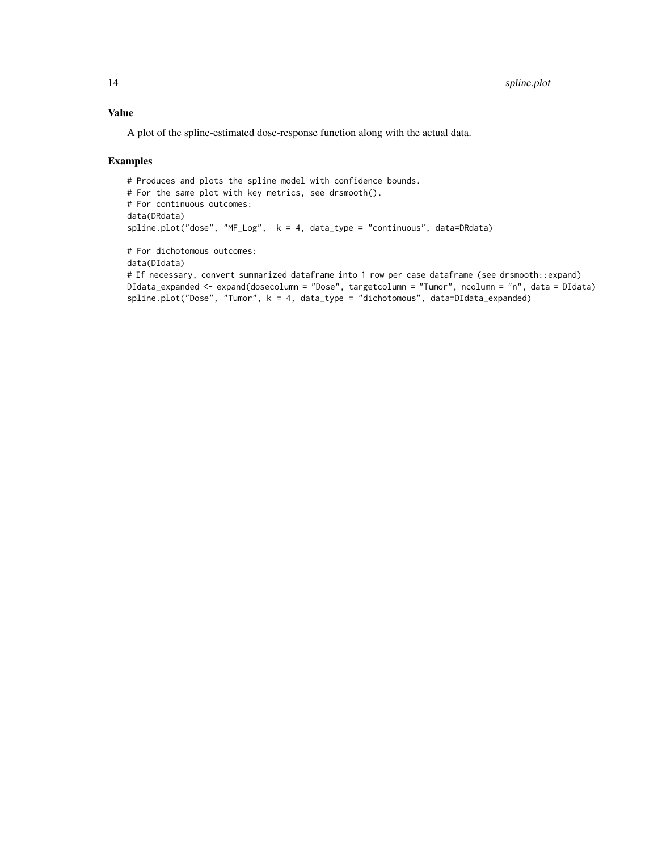# Value

A plot of the spline-estimated dose-response function along with the actual data.

```
# Produces and plots the spline model with confidence bounds.
# For the same plot with key metrics, see drsmooth().
# For continuous outcomes:
data(DRdata)
spline.plot("dose", "MF_Log", k = 4, data_type = "continuous", data=DRdata)
# For dichotomous outcomes:
data(DIdata)
# If necessary, convert summarized dataframe into 1 row per case dataframe (see drsmooth::expand)
DIdata_expanded <- expand(dosecolumn = "Dose", targetcolumn = "Tumor", ncolumn = "n", data = DIdata)
spline.plot("Dose", "Tumor", k = 4, data_type = "dichotomous", data=DIdata_expanded)
```